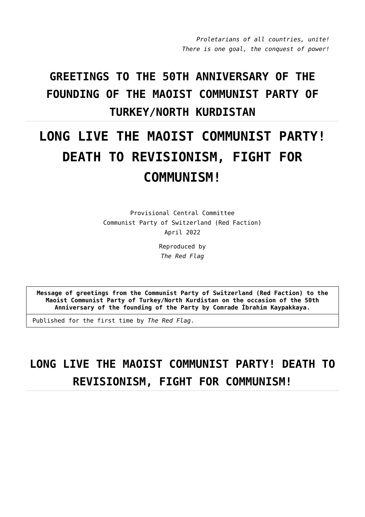*Proletarians of all countries, unite! There is one goal, the conquest of power!*

## **GREETINGS TO THE 50TH ANNIVERSARY OF THE FOUNDING OF THE MAOIST COMMUNIST PARTY OF TURKEY/NORTH KURDISTAN**

## **LONG LIVE THE MAOIST COMMUNIST PARTY! DEATH TO REVISIONISM, FIGHT FOR COMMUNISM!**

Provisional Central Committee Communist Party of Switzerland (Red Faction) April 2022

> Reproduced by *The Red Flag*

**Message of greetings from the Communist Party of Switzerland (Red Faction) to the Maoist Communist Party of Turkey/North Kurdistan on the occasion of the 50th Anniversary of the founding of the Party by Comrade İbrahim Kaypakkaya.**

Published for the first time by *The Red Flag*.

## **LONG LIVE THE MAOIST COMMUNIST PARTY! DEATH TO REVISIONISM, FIGHT FOR COMMUNISM!**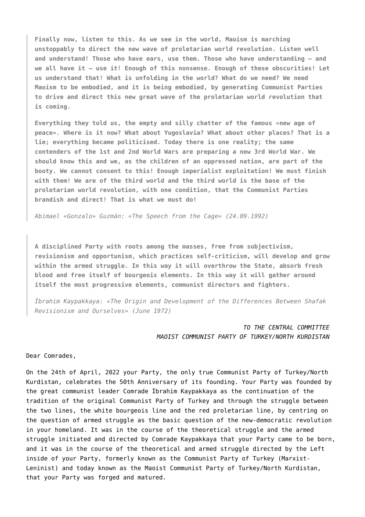**Finally now, listen to this. As we see in the world, Maoism is marching unstoppably to direct the new wave of proletarian world revolution. Listen well and understand! Those who have ears, use them. Those who have understanding — and we all have it — use it! Enough of this nonsense. Enough of these obscurities! Let us understand that! What is unfolding in the world? What do we need? We need Maoism to be embodied, and it is being embodied, by generating Communist Parties to drive and direct this new great wave of the proletarian world revolution that is coming.**

**Everything they told us, the empty and silly chatter of the famous «new age of peace». Where is it now? What about Yugoslavia? What about other places? That is a lie; everything became politicised. Today there is one reality; the same contenders of the 1st and 2nd World Wars are preparing a new 3rd World War. We should know this and we, as the children of an oppressed nation, are part of the booty. We cannot consent to this! Enough imperialist exploitation! We must finish with them! We are of the third world and the third world is the base of the proletarian world revolution, with one condition, that the Communist Parties brandish and direct! That is what we must do!**

*Abimael «Gonzalo» Guzmán: «The Speech from the Cage» (24.09.1992)*

**A disciplined Party with roots among the masses, free from subjectivism, revisionism and opportunism, which practices self-criticism, will develop and grow within the armed struggle. In this way it will overthrow the State, absorb fresh blood and free itself of bourgeois elements. In this way it will gather around itself the most progressive elements, communist directors and fighters.**

*İbrahim Kaypakkaya: «The Origin and Development of the Differences Between Shafak Revisionism and Ourselves» (June 1972)*

> *TO THE CENTRAL COMMITTEE MAOIST COMMUNIST PARTY OF TURKEY/NORTH KURDISTAN*

Dear Comrades,

On the 24th of April, 2022 your Party, the only true Communist Party of Turkey/North Kurdistan, celebrates the 50th Anniversary of its founding. Your Party was founded by the great communist leader Comrade İbrahim Kaypakkaya as the continuation of the tradition of the original Communist Party of Turkey and through the struggle between the two lines, the white bourgeois line and the red proletarian line, by centring on the question of armed struggle as the basic question of the new-democratic revolution in your homeland. It was in the course of the theoretical struggle and the armed struggle initiated and directed by Comrade Kaypakkaya that your Party came to be born, and it was in the course of the theoretical and armed struggle directed by the Left inside of your Party, formerly known as the Communist Party of Turkey (Marxist-Leninist) and today known as the Maoist Communist Party of Turkey/North Kurdistan, that your Party was forged and matured.